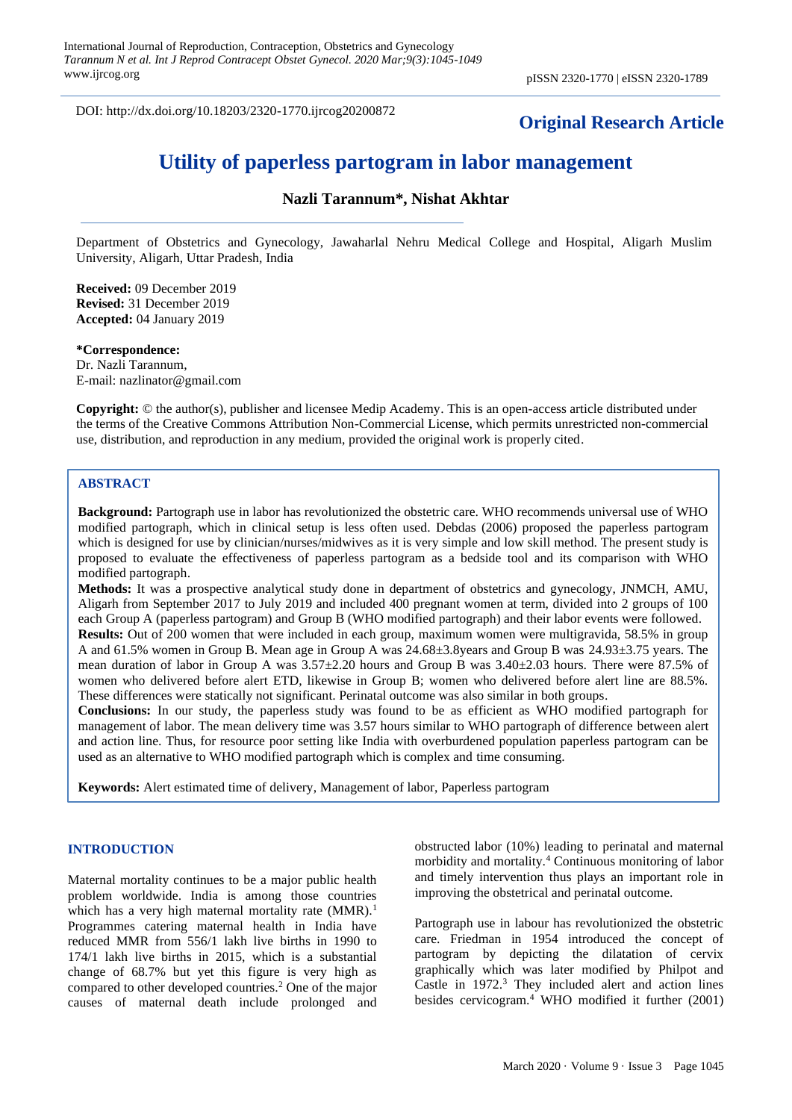DOI: http://dx.doi.org/10.18203/2320-1770.ijrcog20200872

# **Original Research Article**

# **Utility of paperless partogram in labor management**

# **Nazli Tarannum\*, Nishat Akhtar**

Department of Obstetrics and Gynecology, Jawaharlal Nehru Medical College and Hospital, Aligarh Muslim University, Aligarh, Uttar Pradesh, India

**Received:** 09 December 2019 **Revised:** 31 December 2019 **Accepted:** 04 January 2019

#### **\*Correspondence:**

Dr. Nazli Tarannum, E-mail: nazlinator@gmail.com

**Copyright:** © the author(s), publisher and licensee Medip Academy. This is an open-access article distributed under the terms of the Creative Commons Attribution Non-Commercial License, which permits unrestricted non-commercial use, distribution, and reproduction in any medium, provided the original work is properly cited.

# **ABSTRACT**

**Background:** Partograph use in labor has revolutionized the obstetric care. WHO recommends universal use of WHO modified partograph, which in clinical setup is less often used. Debdas (2006) proposed the paperless partogram which is designed for use by clinician/nurses/midwives as it is very simple and low skill method. The present study is proposed to evaluate the effectiveness of paperless partogram as a bedside tool and its comparison with WHO modified partograph.

**Methods:** It was a prospective analytical study done in department of obstetrics and gynecology, JNMCH, AMU, Aligarh from September 2017 to July 2019 and included 400 pregnant women at term, divided into 2 groups of 100 each Group A (paperless partogram) and Group B (WHO modified partograph) and their labor events were followed. **Results:** Out of 200 women that were included in each group, maximum women were multigravida, 58.5% in group A and 61.5% women in Group B. Mean age in Group A was 24.68±3.8years and Group B was 24.93±3.75 years. The

mean duration of labor in Group A was 3.57±2.20 hours and Group B was 3.40±2.03 hours. There were 87.5% of women who delivered before alert ETD, likewise in Group B; women who delivered before alert line are 88.5%. These differences were statically not significant. Perinatal outcome was also similar in both groups.

**Conclusions:** In our study, the paperless study was found to be as efficient as WHO modified partograph for management of labor. The mean delivery time was 3.57 hours similar to WHO partograph of difference between alert and action line. Thus, for resource poor setting like India with overburdened population paperless partogram can be used as an alternative to WHO modified partograph which is complex and time consuming.

**Keywords:** Alert estimated time of delivery, Management of labor, Paperless partogram

#### **INTRODUCTION**

Maternal mortality continues to be a major public health problem worldwide. India is among those countries which has a very high maternal mortality rate  $(MMR)$ .<sup>1</sup> Programmes catering maternal health in India have reduced MMR from 556/1 lakh live births in 1990 to 174/1 lakh live births in 2015, which is a substantial change of 68.7% but yet this figure is very high as compared to other developed countries.<sup>2</sup> One of the major causes of maternal death include prolonged and obstructed labor (10%) leading to perinatal and maternal morbidity and mortality.<sup>4</sup> Continuous monitoring of labor and timely intervention thus plays an important role in improving the obstetrical and perinatal outcome.

Partograph use in labour has revolutionized the obstetric care. Friedman in 1954 introduced the concept of partogram by depicting the dilatation of cervix graphically which was later modified by Philpot and Castle in 1972.<sup>3</sup> They included alert and action lines besides cervicogram.<sup>4</sup> WHO modified it further (2001)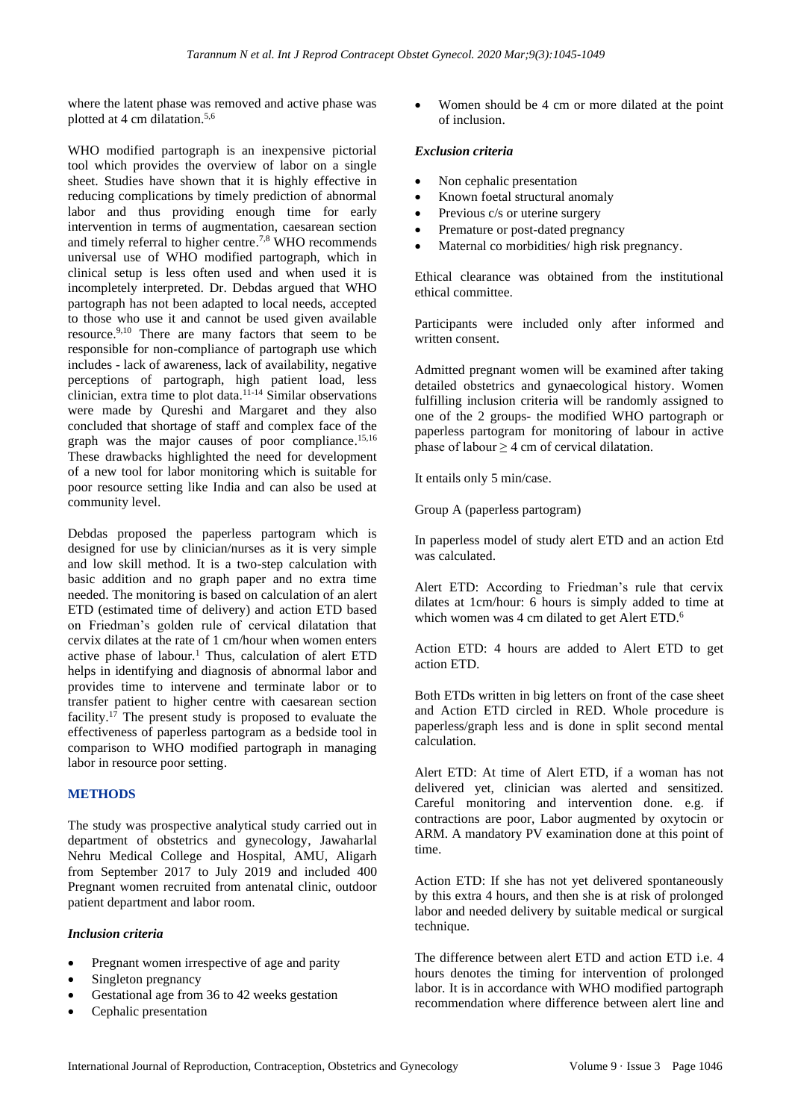where the latent phase was removed and active phase was plotted at 4 cm dilatation. 5,6

WHO modified partograph is an inexpensive pictorial tool which provides the overview of labor on a single sheet. Studies have shown that it is highly effective in reducing complications by timely prediction of abnormal labor and thus providing enough time for early intervention in terms of augmentation, caesarean section and timely referral to higher centre. 7,8 WHO recommends universal use of WHO modified partograph, which in clinical setup is less often used and when used it is incompletely interpreted. Dr. Debdas argued that WHO partograph has not been adapted to local needs, accepted to those who use it and cannot be used given available resource. 9,10 There are many factors that seem to be responsible for non-compliance of partograph use which includes - lack of awareness, lack of availability, negative perceptions of partograph, high patient load, less clinician, extra time to plot data. 11-14 Similar observations were made by Qureshi and Margaret and they also concluded that shortage of staff and complex face of the graph was the major causes of poor compliance. 15,16 These drawbacks highlighted the need for development of a new tool for labor monitoring which is suitable for poor resource setting like India and can also be used at community level.

Debdas proposed the paperless partogram which is designed for use by clinician/nurses as it is very simple and low skill method. It is a two-step calculation with basic addition and no graph paper and no extra time needed. The monitoring is based on calculation of an alert ETD (estimated time of delivery) and action ETD based on Friedman's golden rule of cervical dilatation that cervix dilates at the rate of 1 cm/hour when women enters active phase of labour.<sup>1</sup> Thus, calculation of alert ETD helps in identifying and diagnosis of abnormal labor and provides time to intervene and terminate labor or to transfer patient to higher centre with caesarean section facility. <sup>17</sup> The present study is proposed to evaluate the effectiveness of paperless partogram as a bedside tool in comparison to WHO modified partograph in managing labor in resource poor setting.

# **METHODS**

The study was prospective analytical study carried out in department of obstetrics and gynecology, Jawaharlal Nehru Medical College and Hospital, AMU, Aligarh from September 2017 to July 2019 and included 400 Pregnant women recruited from antenatal clinic, outdoor patient department and labor room.

# *Inclusion criteria*

- Pregnant women irrespective of age and parity
- Singleton pregnancy
- Gestational age from 36 to 42 weeks gestation
- Cephalic presentation

• Women should be 4 cm or more dilated at the point of inclusion.

### *Exclusion criteria*

- Non cephalic presentation
- Known foetal structural anomaly
- Previous c/s or uterine surgery
- Premature or post-dated pregnancy
- Maternal co morbidities/ high risk pregnancy.

Ethical clearance was obtained from the institutional ethical committee.

Participants were included only after informed and written consent.

Admitted pregnant women will be examined after taking detailed obstetrics and gynaecological history. Women fulfilling inclusion criteria will be randomly assigned to one of the 2 groups- the modified WHO partograph or paperless partogram for monitoring of labour in active phase of labour  $> 4$  cm of cervical dilatation.

It entails only 5 min/case.

Group A (paperless partogram)

In paperless model of study alert ETD and an action Etd was calculated.

Alert ETD: According to Friedman's rule that cervix dilates at 1cm/hour: 6 hours is simply added to time at which women was 4 cm dilated to get Alert ETD.<sup>6</sup>

Action ETD: 4 hours are added to Alert ETD to get action ETD.

Both ETDs written in big letters on front of the case sheet and Action ETD circled in RED. Whole procedure is paperless/graph less and is done in split second mental calculation.

Alert ETD: At time of Alert ETD, if a woman has not delivered yet, clinician was alerted and sensitized. Careful monitoring and intervention done. e.g. if contractions are poor, Labor augmented by oxytocin or ARM. A mandatory PV examination done at this point of time.

Action ETD: If she has not yet delivered spontaneously by this extra 4 hours, and then she is at risk of prolonged labor and needed delivery by suitable medical or surgical technique.

The difference between alert ETD and action ETD i.e. 4 hours denotes the timing for intervention of prolonged labor. It is in accordance with WHO modified partograph recommendation where difference between alert line and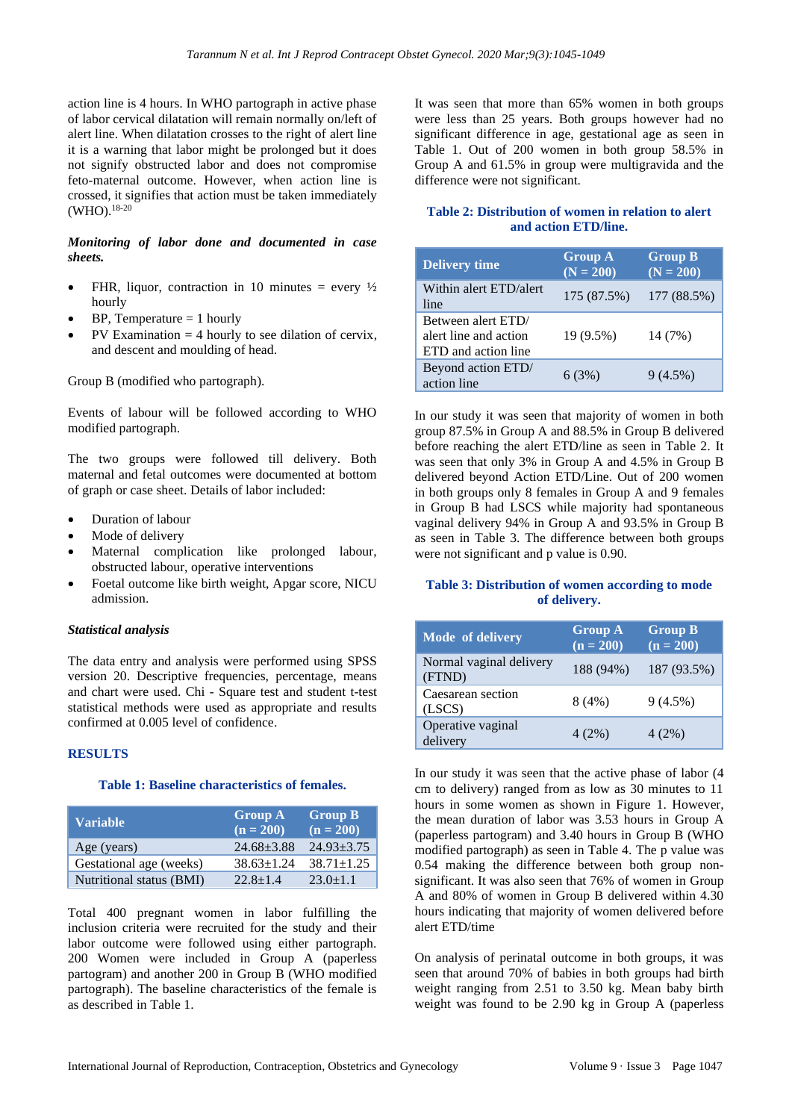action line is 4 hours. In WHO partograph in active phase of labor cervical dilatation will remain normally on/left of alert line. When dilatation crosses to the right of alert line it is a warning that labor might be prolonged but it does not signify obstructed labor and does not compromise feto-maternal outcome. However, when action line is crossed, it signifies that action must be taken immediately (WHO). 18-20

# *Monitoring of labor done and documented in case sheets.*

- FHR, liquor, contraction in 10 minutes = every  $\frac{1}{2}$ hourly
- $BP$ , Temperature = 1 hourly
- $PV$  Examination  $= 4$  hourly to see dilation of cervix, and descent and moulding of head.

Group B (modified who partograph).

Events of labour will be followed according to WHO modified partograph.

The two groups were followed till delivery. Both maternal and fetal outcomes were documented at bottom of graph or case sheet. Details of labor included:

- Duration of labour
- Mode of delivery
- Maternal complication like prolonged labour, obstructed labour, operative interventions
- Foetal outcome like birth weight, Apgar score, NICU admission.

#### *Statistical analysis*

The data entry and analysis were performed using SPSS version 20. Descriptive frequencies, percentage, means and chart were used. Chi - Square test and student t-test statistical methods were used as appropriate and results confirmed at 0.005 level of confidence.

# **RESULTS**

#### **Table 1: Baseline characteristics of females.**

| <b>Variable</b>          | <b>Group A</b><br>$(n = 200)$ | <b>Group B</b><br>$(n = 200)$ |
|--------------------------|-------------------------------|-------------------------------|
| Age (years)              | $24.68 + 3.88$                | $24.93 \pm 3.75$              |
| Gestational age (weeks)  | $38.63 \pm 1.24$              | $38.71 \pm 1.25$              |
| Nutritional status (BMI) | $22.8 + 1.4$                  | $23.0 \pm 1.1$                |

Total 400 pregnant women in labor fulfilling the inclusion criteria were recruited for the study and their labor outcome were followed using either partograph. 200 Women were included in Group A (paperless partogram) and another 200 in Group B (WHO modified partograph). The baseline characteristics of the female is as described in Table 1.

It was seen that more than 65% women in both groups were less than 25 years. Both groups however had no significant difference in age, gestational age as seen in Table 1. Out of 200 women in both group 58.5% in Group A and 61.5% in group were multigravida and the difference were not significant.

# **Table 2: Distribution of women in relation to alert and action ETD/line.**

| <b>Delivery time</b>                                               | <b>Group A</b><br>$(N = 200)$ | <b>Group B</b><br>$(N = 200)$ |
|--------------------------------------------------------------------|-------------------------------|-------------------------------|
| Within alert ETD/alert<br>line                                     | 175 (87.5%)                   | 177 (88.5%)                   |
| Between alert ETD/<br>alert line and action<br>ETD and action line | 19 (9.5%)                     | 14 (7%)                       |
| Beyond action ETD/<br>action line                                  | 6(3%)                         | $9(4.5\%)$                    |

In our study it was seen that majority of women in both group 87.5% in Group A and 88.5% in Group B delivered before reaching the alert ETD/line as seen in Table 2. It was seen that only 3% in Group A and 4.5% in Group B delivered beyond Action ETD/Line. Out of 200 women in both groups only 8 females in Group A and 9 females in Group B had LSCS while majority had spontaneous vaginal delivery 94% in Group A and 93.5% in Group B as seen in Table 3. The difference between both groups were not significant and p value is 0.90.

#### **Table 3: Distribution of women according to mode of delivery.**

| Mode of delivery                  | <b>Group A</b><br>$(n = 200)$ | <b>Group B</b><br>$(n = 200)$ |
|-----------------------------------|-------------------------------|-------------------------------|
| Normal vaginal delivery<br>(FTND) | 188 (94%)                     | 187 (93.5%)                   |
| Caesarean section<br>(LSCS)       | 8(4%)                         | 9(4.5%)                       |
| Operative vaginal<br>delivery     | 4(2%)                         | 4(2%)                         |

In our study it was seen that the active phase of labor (4 cm to delivery) ranged from as low as 30 minutes to 11 hours in some women as shown in Figure 1. However, the mean duration of labor was 3.53 hours in Group A (paperless partogram) and 3.40 hours in Group B (WHO modified partograph) as seen in Table 4. The p value was 0.54 making the difference between both group nonsignificant. It was also seen that 76% of women in Group A and 80% of women in Group B delivered within 4.30 hours indicating that majority of women delivered before alert ETD/time

On analysis of perinatal outcome in both groups, it was seen that around 70% of babies in both groups had birth weight ranging from 2.51 to 3.50 kg. Mean baby birth weight was found to be 2.90 kg in Group A (paperless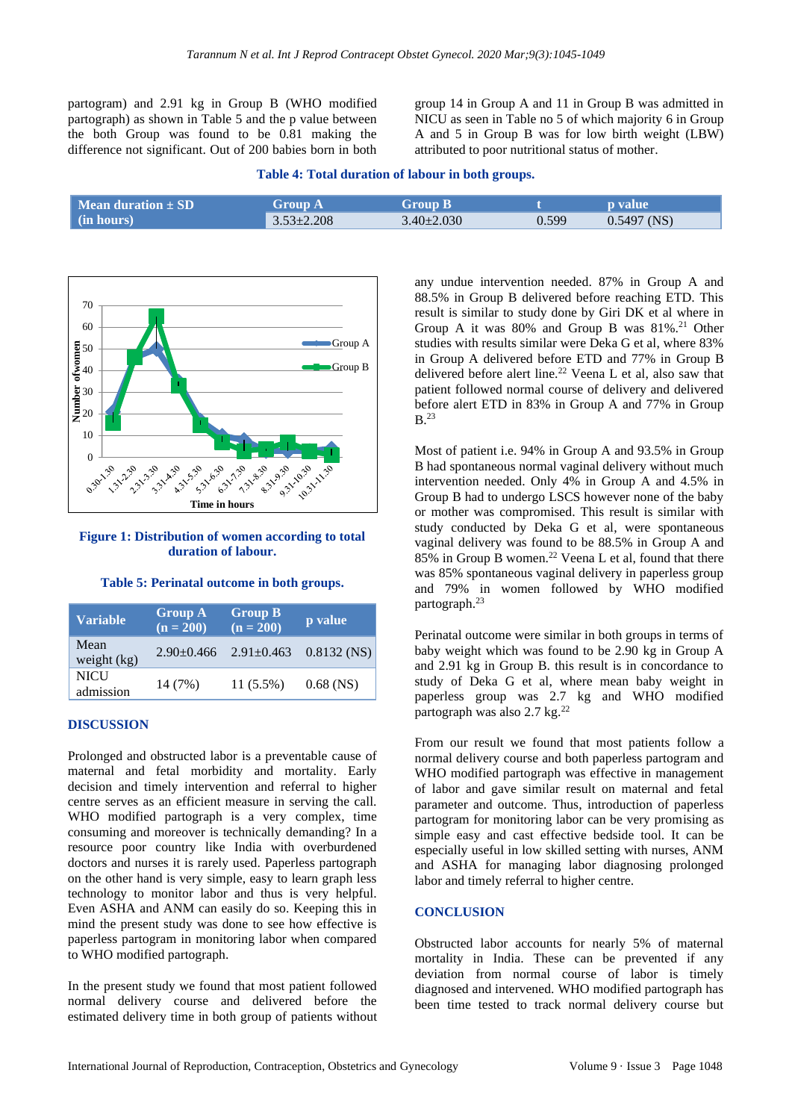partogram) and 2.91 kg in Group B (WHO modified partograph) as shown in Table 5 and the p value between the both Group was found to be 0.81 making the difference not significant. Out of 200 babies born in both group 14 in Group A and 11 in Group B was admitted in NICU as seen in Table no 5 of which majority 6 in Group A and 5 in Group B was for low birth weight (LBW) attributed to poor nutritional status of mother.

|  | Table 4: Total duration of labour in both groups. |  |  |  |
|--|---------------------------------------------------|--|--|--|
|  |                                                   |  |  |  |

| $\blacksquare$ Mean duration $\pm$ SD $\blacksquare$ | Group A          | <b>Group B</b>   |       | <b>D</b> value |
|------------------------------------------------------|------------------|------------------|-------|----------------|
| $\mid$ (in hours)                                    | $3.53 \pm 2.208$ | $3.40 \pm 2.030$ | 0.599 | $0.5497$ (NS)  |



#### **Figure 1: Distribution of women according to total duration of labour.**

**Table 5: Perinatal outcome in both groups.**

| <b>Variable</b>          | <b>Group A</b><br>$(n = 200)$ | <b>Group B</b><br>$(n = 200)$ | p value       |
|--------------------------|-------------------------------|-------------------------------|---------------|
| Mean<br>weight $(kg)$    | $2.90 \pm 0.466$              | $2.91 \pm 0.463$              | $0.8132$ (NS) |
| <b>NICU</b><br>admission | 14 (7%)                       | $11(5.5\%)$                   | $0.68$ (NS)   |

# **DISCUSSION**

Prolonged and obstructed labor is a preventable cause of maternal and fetal morbidity and mortality. Early decision and timely intervention and referral to higher centre serves as an efficient measure in serving the call. WHO modified partograph is a very complex, time consuming and moreover is technically demanding? In a resource poor country like India with overburdened doctors and nurses it is rarely used. Paperless partograph on the other hand is very simple, easy to learn graph less technology to monitor labor and thus is very helpful. Even ASHA and ANM can easily do so. Keeping this in mind the present study was done to see how effective is paperless partogram in monitoring labor when compared to WHO modified partograph.

In the present study we found that most patient followed normal delivery course and delivered before the estimated delivery time in both group of patients without any undue intervention needed. 87% in Group A and 88.5% in Group B delivered before reaching ETD. This result is similar to study done by Giri DK et al where in Group A it was 80% and Group B was 81%.<sup>21</sup> Other studies with results similar were Deka G et al, where 83% in Group A delivered before ETD and 77% in Group B delivered before alert line.<sup>22</sup> Veena L et al, also saw that patient followed normal course of delivery and delivered before alert ETD in 83% in Group A and 77% in Group B.<sup>23</sup>

Most of patient i.e. 94% in Group A and 93.5% in Group B had spontaneous normal vaginal delivery without much intervention needed. Only 4% in Group A and 4.5% in Group B had to undergo LSCS however none of the baby or mother was compromised. This result is similar with study conducted by Deka G et al, were spontaneous vaginal delivery was found to be 88.5% in Group A and 85% in Group B women.<sup>22</sup> Veena L et al, found that there was 85% spontaneous vaginal delivery in paperless group and 79% in women followed by WHO modified partograph.<sup>23</sup>

Perinatal outcome were similar in both groups in terms of baby weight which was found to be 2.90 kg in Group A and 2.91 kg in Group B. this result is in concordance to study of Deka G et al, where mean baby weight in paperless group was 2.7 kg and WHO modified partograph was also 2.7 kg.<sup>22</sup>

From our result we found that most patients follow a normal delivery course and both paperless partogram and WHO modified partograph was effective in management of labor and gave similar result on maternal and fetal parameter and outcome. Thus, introduction of paperless partogram for monitoring labor can be very promising as simple easy and cast effective bedside tool. It can be especially useful in low skilled setting with nurses, ANM and ASHA for managing labor diagnosing prolonged labor and timely referral to higher centre.

# **CONCLUSION**

Obstructed labor accounts for nearly 5% of maternal mortality in India. These can be prevented if any deviation from normal course of labor is timely diagnosed and intervened. WHO modified partograph has been time tested to track normal delivery course but